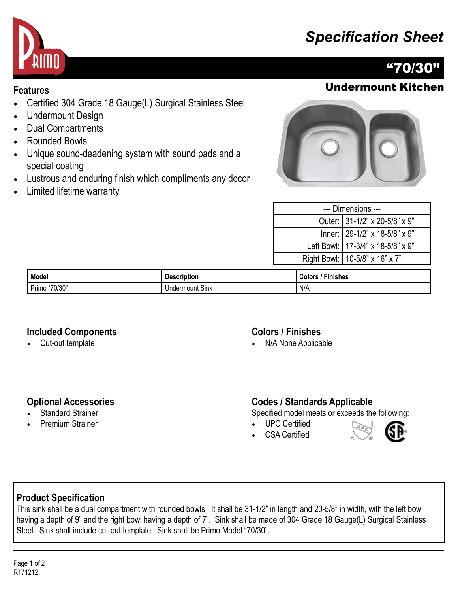# *Specification Sheet*



## "70/30"

## **Features** Undermount Kitchen

- Certified 304 Grade 18 Gauge(L) Surgical Stainless Steel
- Undermount Design
- Dual Compartments
- Rounded Bowls
- Unique sound-deadening system with sound pads and a special coating
- Lustrous and enduring finish which compliments any decor
- Limited lifetime warranty



| --- Dimensions --- |                                     |  |
|--------------------|-------------------------------------|--|
|                    | Outer: 31-1/2" x 20-5/8" x 9"       |  |
|                    | Inner: 29-1/2" x 18-5/8" x 9"       |  |
|                    | Left Bowl:   17-3/4" x 18-5/8" x 9" |  |
|                    | Right Bowl:   10-5/8" x 16" x 7"    |  |
|                    |                                     |  |

| Model                  | <b>Description</b>        | <b>Finishes</b><br><b>Colors</b> |
|------------------------|---------------------------|----------------------------------|
| "70/30"<br>D.<br>Primo | $\sim$<br>Undermount Sink | N/A                              |

#### **Included Components**

• Cut-out template

#### **Colors / Finishes**

• N/A None Applicable

#### **Optional Accessories**

- **Standard Strainer**
- Premium Strainer

#### **Codes / Standards Applicable**

Specified model meets or exceeds the following:

- UPC Certified
- CSA Certified



#### **Product Specification**

This sink shall be a dual compartment with rounded bowls. It shall be 31-1/2" in length and 20-5/8" in width, with the left bowl having a depth of 9" and the right bowl having a depth of 7". Sink shall be made of 304 Grade 18 Gauge(L) Surgical Stainless Steel. Sink shall include cut-out template. Sink shall be Primo Model "70/30".